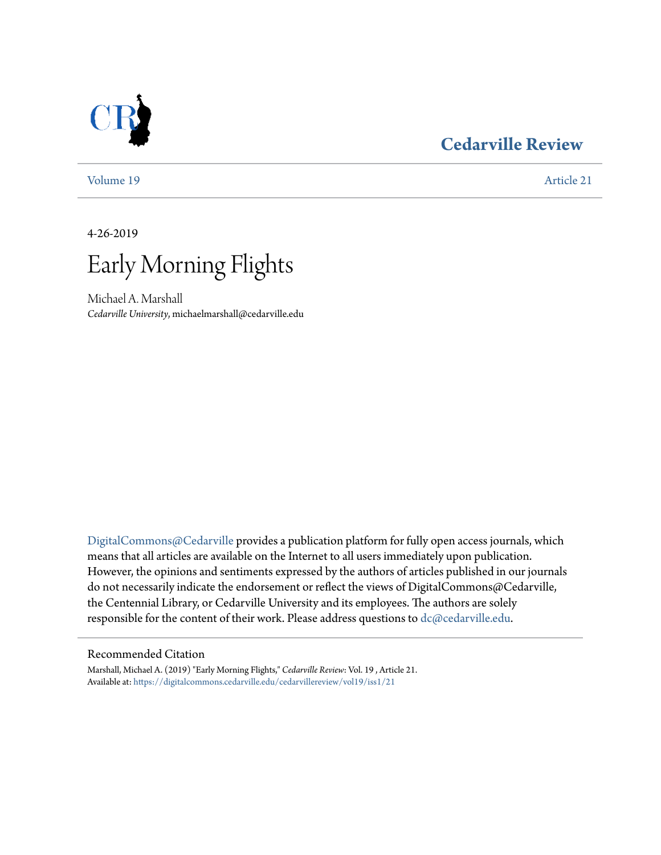## **[Cedarville Review](https://digitalcommons.cedarville.edu/cedarvillereview?utm_source=digitalcommons.cedarville.edu%2Fcedarvillereview%2Fvol19%2Fiss1%2F21&utm_medium=PDF&utm_campaign=PDFCoverPages)**

[Volume 19](https://digitalcommons.cedarville.edu/cedarvillereview/vol19?utm_source=digitalcommons.cedarville.edu%2Fcedarvillereview%2Fvol19%2Fiss1%2F21&utm_medium=PDF&utm_campaign=PDFCoverPages) [Article 21](https://digitalcommons.cedarville.edu/cedarvillereview/vol19/iss1/21?utm_source=digitalcommons.cedarville.edu%2Fcedarvillereview%2Fvol19%2Fiss1%2F21&utm_medium=PDF&utm_campaign=PDFCoverPages)

4-26-2019



Michael A. Marshall *Cedarville University*, michaelmarshall@cedarville.edu

[DigitalCommons@Cedarville](http://digitalcommons.cedarville.edu/) provides a publication platform for fully open access journals, which means that all articles are available on the Internet to all users immediately upon publication. However, the opinions and sentiments expressed by the authors of articles published in our journals do not necessarily indicate the endorsement or reflect the views of DigitalCommons@Cedarville, the Centennial Library, or Cedarville University and its employees. The authors are solely responsible for the content of their work. Please address questions to [dc@cedarville.edu](mailto:dc@cedarville.edu).

## Recommended Citation

Marshall, Michael A. (2019) "Early Morning Flights," *Cedarville Review*: Vol. 19 , Article 21. Available at: [https://digitalcommons.cedarville.edu/cedarvillereview/vol19/iss1/21](https://digitalcommons.cedarville.edu/cedarvillereview/vol19/iss1/21?utm_source=digitalcommons.cedarville.edu%2Fcedarvillereview%2Fvol19%2Fiss1%2F21&utm_medium=PDF&utm_campaign=PDFCoverPages)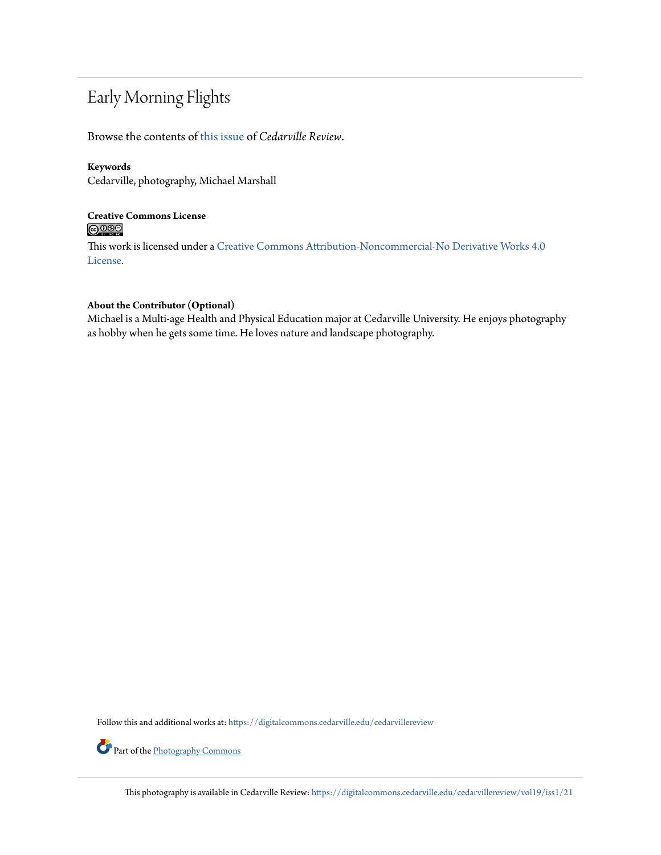# Early Morning Flights

Browse the contents of [this issue](https://digitalcommons.cedarville.edu/cedarvillereview/vol19/iss1) of *Cedarville Review*.

## **Keywords**

Cedarville, photography, Michael Marshall

## **Creative Commons License**  $\bigcirc$   $\circ$

This work is licensed under a [Creative Commons Attribution-Noncommercial-No Derivative Works 4.0](http://creativecommons.org/licenses/by-nc-nd/4.0/) [License.](http://creativecommons.org/licenses/by-nc-nd/4.0/)

## **About the Contributor (Optional)**

Michael is a Multi-age Health and Physical Education major at Cedarville University. He enjoys photography as hobby when he gets some time. He loves nature and landscape photography.

Follow this and additional works at: [https://digitalcommons.cedarville.edu/cedarvillereview](https://digitalcommons.cedarville.edu/cedarvillereview?utm_source=digitalcommons.cedarville.edu%2Fcedarvillereview%2Fvol19%2Fiss1%2F21&utm_medium=PDF&utm_campaign=PDFCoverPages)

Part of the [Photography Commons](http://network.bepress.com/hgg/discipline/1142?utm_source=digitalcommons.cedarville.edu%2Fcedarvillereview%2Fvol19%2Fiss1%2F21&utm_medium=PDF&utm_campaign=PDFCoverPages)